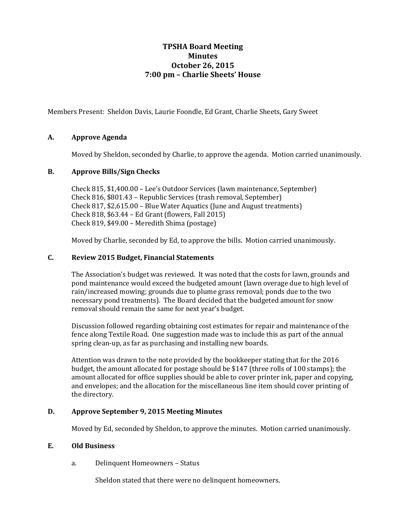# **TPSHA Board Meeting Minutes October 26, 2015 7:00 pm – Charlie Sheets' House**

Members Present: Sheldon Davis, Laurie Foondle, Ed Grant, Charlie Sheets, Gary Sweet

### **A. Approve Agenda**

Moved by Sheldon, seconded by Charlie, to approve the agenda. Motion carried unanimously.

### **B. Approve Bills/Sign Checks**

Check 815, \$1,400.00 – Lee's Outdoor Services (lawn maintenance, September) Check 816, \$801.43 – Republic Services (trash removal, September) Check 817, \$2,615.00 – Blue Water Aquatics (June and August treatments) Check 818, \$63.44 – Ed Grant (flowers, Fall 2015) Check 819, \$49.00 – Meredith Shima (postage)

Moved by Charlie, seconded by Ed, to approve the bills. Motion carried unanimously.

### **C. Review 2015 Budget, Financial Statements**

The Association's budget was reviewed. It was noted that the costs for lawn, grounds and pond maintenance would exceed the budgeted amount (lawn overage due to high level of rain/increased mowing; grounds due to plume grass removal; ponds due to the two necessary pond treatments). The Board decided that the budgeted amount for snow removal should remain the same for next year's budget.

Discussion followed regarding obtaining cost estimates for repair and maintenance of the fence along Textile Road. One suggestion made was to include this as part of the annual spring clean-up, as far as purchasing and installing new boards.

Attention was drawn to the note provided by the bookkeeper stating that for the 2016 budget, the amount allocated for postage should be \$147 (three rolls of 100 stamps); the amount allocated for office supplies should be able to cover printer ink, paper and copying, and envelopes; and the allocation for the miscellaneous line item should cover printing of the directory.

## **D. Approve September 9, 2015 Meeting Minutes**

Moved by Ed, seconded by Sheldon, to approve the minutes. Motion carried unanimously.

#### **E. Old Business**

a. Delinquent Homeowners – Status

Sheldon stated that there were no delinquent homeowners.